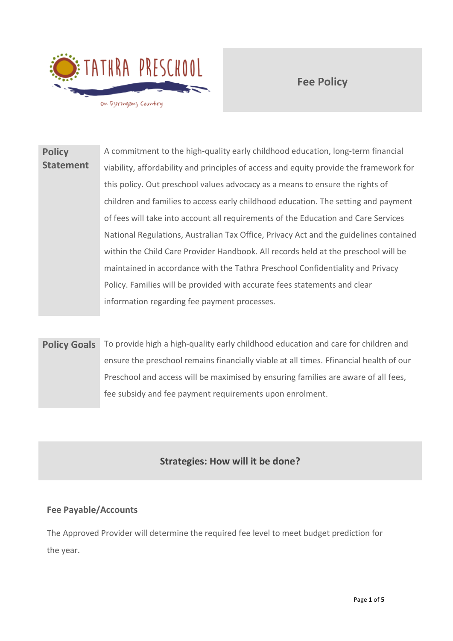

**Fee Policy**

**Policy Statement** A commitment to the high-quality early childhood education, long-term financial viability, affordability and principles of access and equity provide the framework for this policy. Out preschool values advocacy as a means to ensure the rights of children and families to access early childhood education. The setting and payment of fees will take into account all requirements of the Education and Care Services National Regulations, Australian Tax Office, Privacy Act and the guidelines contained within the Child Care Provider Handbook. All records held at the preschool will be maintained in accordance with the Tathra Preschool Confidentiality and Privacy Policy. Families will be provided with accurate fees statements and clear information regarding fee payment processes.

**Policy Goals** To provide high a high-quality early childhood education and care for children and ensure the preschool remains financially viable at all times. Ffinancial health of our Preschool and access will be maximised by ensuring families are aware of all fees, fee subsidy and fee payment requirements upon enrolment.

# **Strategies: How will it be done?**

## **Fee Payable/Accounts**

The Approved Provider will determine the required fee level to meet budget prediction for the year.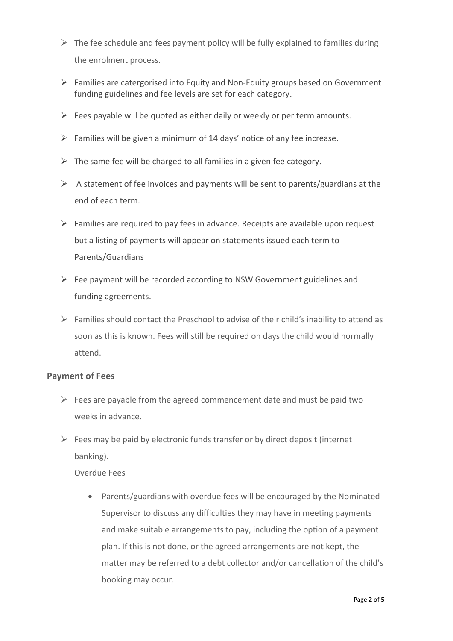- $\triangleright$  The fee schedule and fees payment policy will be fully explained to families during the enrolment process.
- $\triangleright$  Families are catergorised into Equity and Non-Equity groups based on Government funding guidelines and fee levels are set for each category.
- $\triangleright$  Fees payable will be quoted as either daily or weekly or per term amounts.
- $\triangleright$  Families will be given a minimum of 14 days' notice of any fee increase.
- $\triangleright$  The same fee will be charged to all families in a given fee category.
- $\triangleright$  A statement of fee invoices and payments will be sent to parents/guardians at the end of each term.
- $\triangleright$  Families are required to pay fees in advance. Receipts are available upon request but a listing of payments will appear on statements issued each term to Parents/Guardians
- $\triangleright$  Fee payment will be recorded according to NSW Government guidelines and funding agreements.
- $\triangleright$  Families should contact the Preschool to advise of their child's inability to attend as soon as this is known. Fees will still be required on days the child would normally attend.

### **Payment of Fees**

- $\triangleright$  Fees are payable from the agreed commencement date and must be paid two weeks in advance.
- $\triangleright$  Fees may be paid by electronic funds transfer or by direct deposit (internet banking).

### Overdue Fees

• Parents/guardians with overdue fees will be encouraged by the Nominated Supervisor to discuss any difficulties they may have in meeting payments and make suitable arrangements to pay, including the option of a payment plan. If this is not done, or the agreed arrangements are not kept, the matter may be referred to a debt collector and/or cancellation of the child's booking may occur.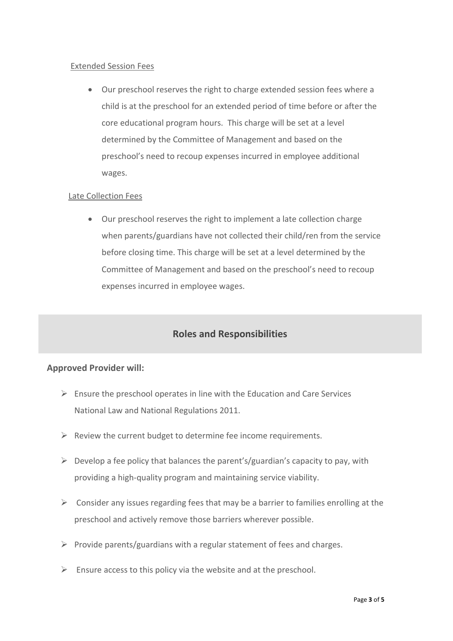#### Extended Session Fees

• Our preschool reserves the right to charge extended session fees where a child is at the preschool for an extended period of time before or after the core educational program hours. This charge will be set at a level determined by the Committee of Management and based on the preschool's need to recoup expenses incurred in employee additional wages.

#### Late Collection Fees

• Our preschool reserves the right to implement a late collection charge when parents/guardians have not collected their child/ren from the service before closing time. This charge will be set at a level determined by the Committee of Management and based on the preschool's need to recoup expenses incurred in employee wages.

## **Roles and Responsibilities**

### **Approved Provider will:**

- $\triangleright$  Ensure the preschool operates in line with the Education and Care Services National Law and National Regulations 2011.
- $\triangleright$  Review the current budget to determine fee income requirements.
- $\triangleright$  Develop a fee policy that balances the parent's/guardian's capacity to pay, with providing a high-quality program and maintaining service viability.
- $\triangleright$  Consider any issues regarding fees that may be a barrier to families enrolling at the preschool and actively remove those barriers wherever possible.
- $\triangleright$  Provide parents/guardians with a regular statement of fees and charges.
- $\triangleright$  Ensure access to this policy via the website and at the preschool.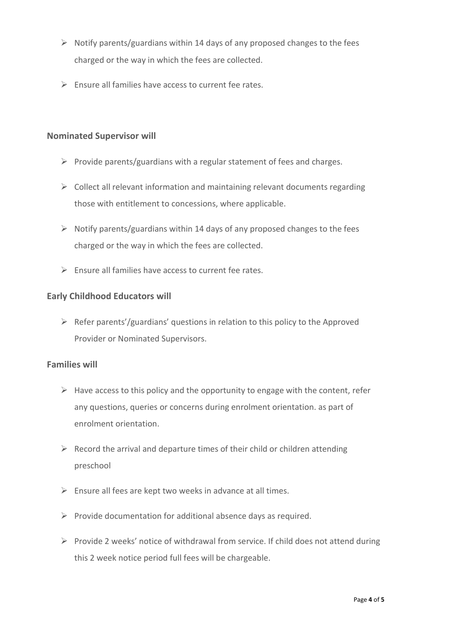- $\triangleright$  Notify parents/guardians within 14 days of any proposed changes to the fees charged or the way in which the fees are collected.
- $\triangleright$  Ensure all families have access to current fee rates.

#### **Nominated Supervisor will**

- ➢ Provide parents/guardians with a regular statement of fees and charges.
- $\triangleright$  Collect all relevant information and maintaining relevant documents regarding those with entitlement to concessions, where applicable.
- ➢ Notify parents/guardians within 14 days of any proposed changes to the fees charged or the way in which the fees are collected.
- $\triangleright$  Ensure all families have access to current fee rates.

### **Early Childhood Educators will**

 $\triangleright$  Refer parents'/guardians' questions in relation to this policy to the Approved Provider or Nominated Supervisors.

### **Families will**

- $\triangleright$  Have access to this policy and the opportunity to engage with the content, refer any questions, queries or concerns during enrolment orientation. as part of enrolment orientation.
- $\triangleright$  Record the arrival and departure times of their child or children attending preschool
- $\triangleright$  Ensure all fees are kept two weeks in advance at all times.
- $\triangleright$  Provide documentation for additional absence days as required.
- ➢ Provide 2 weeks' notice of withdrawal from service. If child does not attend during this 2 week notice period full fees will be chargeable.